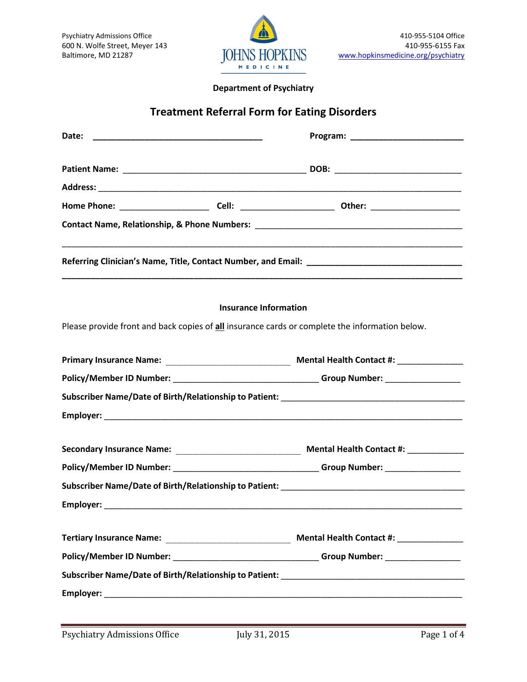

#### **Department of Psychiatry**

# **Treatment Referral Form for Eating Disorders**

| Date:                                                                             |                                                                                   |                                                                                                |  |  |  |  |  |
|-----------------------------------------------------------------------------------|-----------------------------------------------------------------------------------|------------------------------------------------------------------------------------------------|--|--|--|--|--|
|                                                                                   |                                                                                   |                                                                                                |  |  |  |  |  |
|                                                                                   |                                                                                   |                                                                                                |  |  |  |  |  |
|                                                                                   |                                                                                   |                                                                                                |  |  |  |  |  |
|                                                                                   |                                                                                   |                                                                                                |  |  |  |  |  |
|                                                                                   |                                                                                   | ,我们也不能在这里的时候,我们也不能在这里的时候,我们也不能会在这里,我们也不能会在这里的时候,我们也不能会在这里的时候,我们也不能会在这里的时候,我们也不能会               |  |  |  |  |  |
|                                                                                   | <b>Insurance Information</b>                                                      |                                                                                                |  |  |  |  |  |
|                                                                                   |                                                                                   | Please provide front and back copies of all insurance cards or complete the information below. |  |  |  |  |  |
|                                                                                   |                                                                                   |                                                                                                |  |  |  |  |  |
|                                                                                   | Policy/Member ID Number: _______________________________Group Number: ___________ |                                                                                                |  |  |  |  |  |
|                                                                                   |                                                                                   |                                                                                                |  |  |  |  |  |
|                                                                                   |                                                                                   |                                                                                                |  |  |  |  |  |
|                                                                                   |                                                                                   |                                                                                                |  |  |  |  |  |
|                                                                                   | Policy/Member ID Number: ________________________________Group Number: __________ |                                                                                                |  |  |  |  |  |
|                                                                                   |                                                                                   |                                                                                                |  |  |  |  |  |
|                                                                                   |                                                                                   |                                                                                                |  |  |  |  |  |
|                                                                                   |                                                                                   | Mental Health Contact #: Next Research                                                         |  |  |  |  |  |
| Policy/Member ID Number: _______________________________Group Number: ___________ |                                                                                   |                                                                                                |  |  |  |  |  |
|                                                                                   |                                                                                   |                                                                                                |  |  |  |  |  |
|                                                                                   |                                                                                   |                                                                                                |  |  |  |  |  |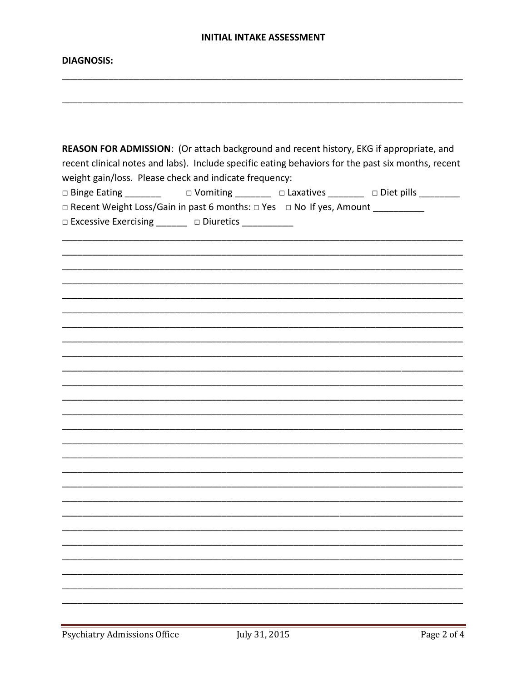#### **INITIAL INTAKE ASSESSMENT**

#### **DIAGNOSIS:**

| REASON FOR ADMISSION: (Or attach background and recent history, EKG if appropriate, and<br>recent clinical notes and labs). Include specific eating behaviors for the past six months, recent<br>weight gain/loss. Please check and indicate frequency: |  |  |  |  |  |  |  |
|---------------------------------------------------------------------------------------------------------------------------------------------------------------------------------------------------------------------------------------------------------|--|--|--|--|--|--|--|
|                                                                                                                                                                                                                                                         |  |  |  |  |  |  |  |
| □ Recent Weight Loss/Gain in past 6 months: □ Yes □ No If yes, Amount _________                                                                                                                                                                         |  |  |  |  |  |  |  |
| □ Excessive Exercising _______ □ Diuretics __________                                                                                                                                                                                                   |  |  |  |  |  |  |  |
|                                                                                                                                                                                                                                                         |  |  |  |  |  |  |  |
|                                                                                                                                                                                                                                                         |  |  |  |  |  |  |  |
|                                                                                                                                                                                                                                                         |  |  |  |  |  |  |  |
|                                                                                                                                                                                                                                                         |  |  |  |  |  |  |  |
|                                                                                                                                                                                                                                                         |  |  |  |  |  |  |  |
|                                                                                                                                                                                                                                                         |  |  |  |  |  |  |  |
|                                                                                                                                                                                                                                                         |  |  |  |  |  |  |  |
|                                                                                                                                                                                                                                                         |  |  |  |  |  |  |  |
|                                                                                                                                                                                                                                                         |  |  |  |  |  |  |  |
|                                                                                                                                                                                                                                                         |  |  |  |  |  |  |  |
|                                                                                                                                                                                                                                                         |  |  |  |  |  |  |  |
|                                                                                                                                                                                                                                                         |  |  |  |  |  |  |  |
|                                                                                                                                                                                                                                                         |  |  |  |  |  |  |  |
|                                                                                                                                                                                                                                                         |  |  |  |  |  |  |  |
|                                                                                                                                                                                                                                                         |  |  |  |  |  |  |  |
|                                                                                                                                                                                                                                                         |  |  |  |  |  |  |  |
|                                                                                                                                                                                                                                                         |  |  |  |  |  |  |  |
|                                                                                                                                                                                                                                                         |  |  |  |  |  |  |  |
|                                                                                                                                                                                                                                                         |  |  |  |  |  |  |  |
|                                                                                                                                                                                                                                                         |  |  |  |  |  |  |  |
|                                                                                                                                                                                                                                                         |  |  |  |  |  |  |  |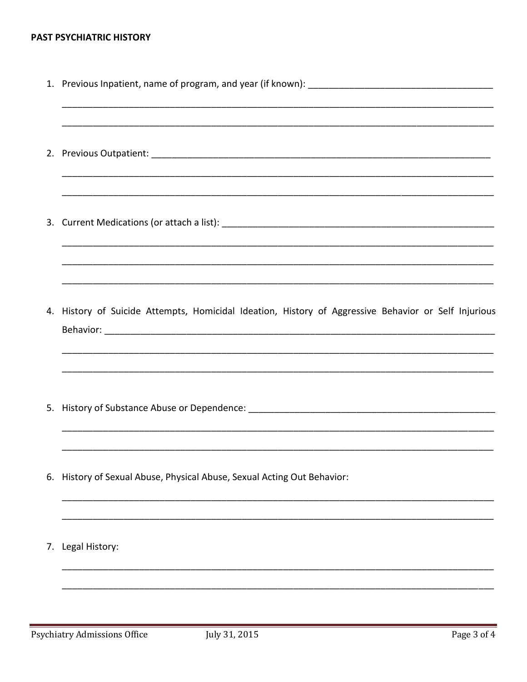### PAST PSYCHIATRIC HISTORY

|    | 4. History of Suicide Attempts, Homicidal Ideation, History of Aggressive Behavior or Self Injurious |  |  |  |  |  |
|----|------------------------------------------------------------------------------------------------------|--|--|--|--|--|
|    |                                                                                                      |  |  |  |  |  |
|    | 6. History of Sexual Abuse, Physical Abuse, Sexual Acting Out Behavior:                              |  |  |  |  |  |
| 7. | Legal History:                                                                                       |  |  |  |  |  |
|    |                                                                                                      |  |  |  |  |  |